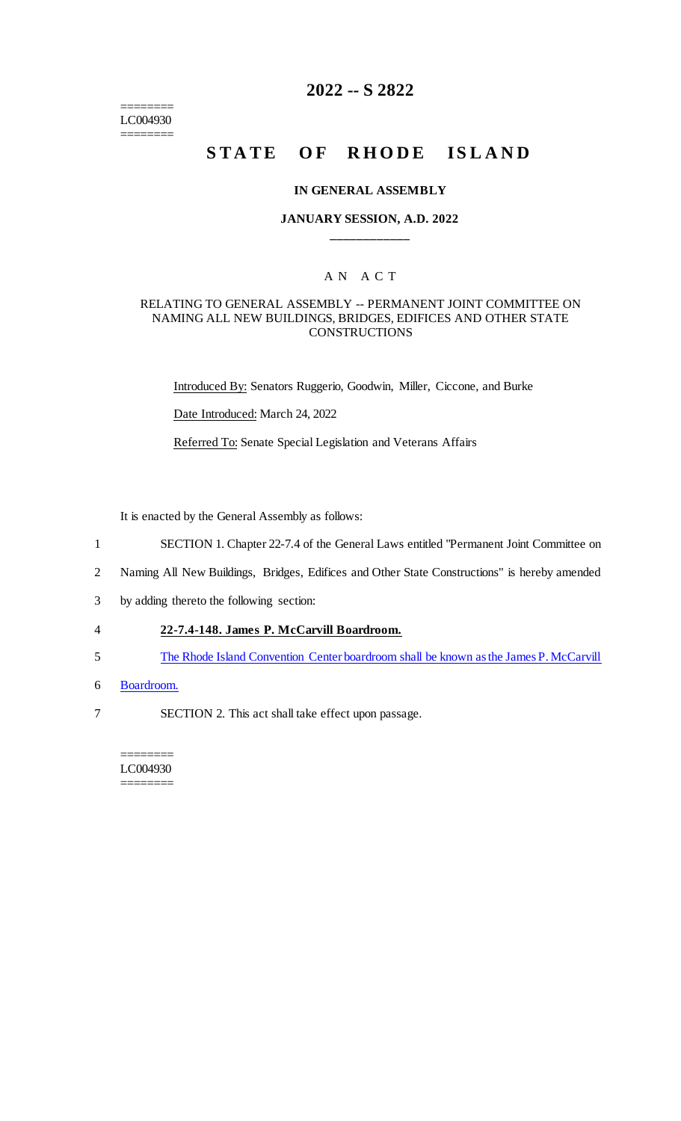======== LC004930 ========

## **2022 -- S 2822**

# **STATE OF RHODE ISLAND**

#### **IN GENERAL ASSEMBLY**

#### **JANUARY SESSION, A.D. 2022 \_\_\_\_\_\_\_\_\_\_\_\_**

### A N A C T

#### RELATING TO GENERAL ASSEMBLY -- PERMANENT JOINT COMMITTEE ON NAMING ALL NEW BUILDINGS, BRIDGES, EDIFICES AND OTHER STATE **CONSTRUCTIONS**

Introduced By: Senators Ruggerio, Goodwin, Miller, Ciccone, and Burke

Date Introduced: March 24, 2022

Referred To: Senate Special Legislation and Veterans Affairs

It is enacted by the General Assembly as follows:

- 1 SECTION 1. Chapter 22-7.4 of the General Laws entitled "Permanent Joint Committee on
- 2 Naming All New Buildings, Bridges, Edifices and Other State Constructions" is hereby amended
- 3 by adding thereto the following section:
- 4 **22-7.4-148. James P. McCarvill Boardroom.**
- 5 The Rhode Island Convention Center boardroom shall be known as the James P. McCarvill
- 6 Boardroom.
- 7 SECTION 2. This act shall take effect upon passage.

======== LC004930 ========